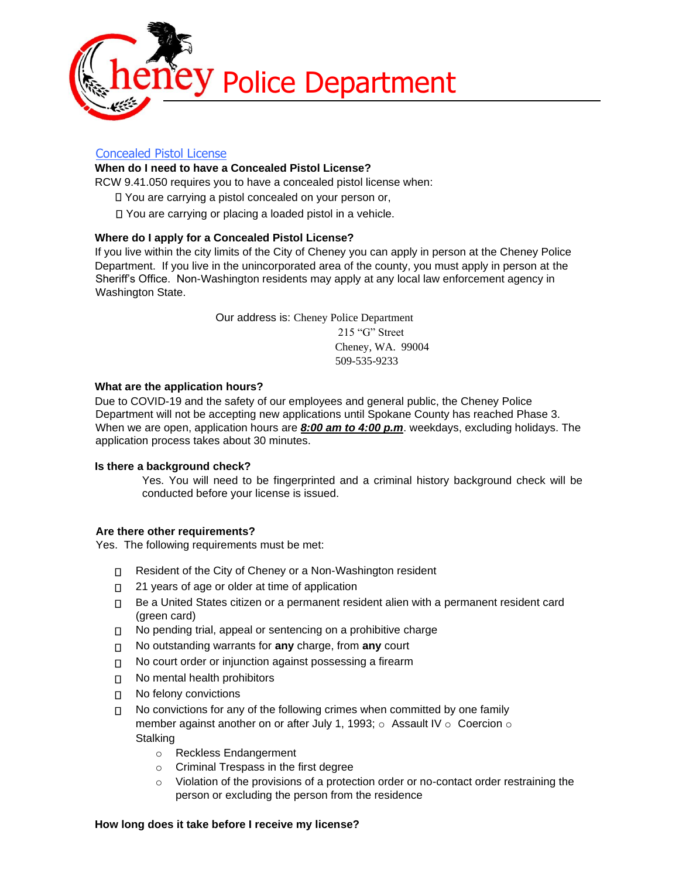

# Concealed Pistol License

# **When do I need to have a Concealed Pistol License?**

RCW 9.41.050 requires you to have a concealed pistol license when:

- You are carrying a pistol concealed on your person or,
- You are carrying or placing a loaded pistol in a vehicle.

# **Where do I apply for a Concealed Pistol License?**

If you live within the city limits of the City of Cheney you can apply in person at the Cheney Police Department. If you live in the unincorporated area of the county, you must apply in person at the Sheriff's Office. Non-Washington residents may apply at any local law enforcement agency in Washington State.

> Our address is: Cheney Police Department 215 "G" Street Cheney, WA. 99004 509-535-9233

### **What are the application hours?**

Due to COVID-19 and the safety of our employees and general public, the Cheney Police Department will not be accepting new applications until Spokane County has reached Phase 3. When we are open, application hours are *8:00 am to 4:00 p.m*. weekdays, excluding holidays. The application process takes about 30 minutes.

### **Is there a background check?**

Yes. You will need to be fingerprinted and a criminal history background check will be conducted before your license is issued.

### **Are there other requirements?**

Yes. The following requirements must be met:

- Resident of the City of Cheney or a Non-Washington resident
- □ 21 years of age or older at time of application
- Be a United States citizen or a permanent resident alien with a permanent resident card (green card)
- $\nabla$  No pending trial, appeal or sentencing on a prohibitive charge
- No outstanding warrants for **any** charge, from **any** court
- No court order or injunction against possessing a firearm  $\Box$
- □ No mental health prohibitors
- No felony convictions
- No convictions for any of the following crimes when committed by one family  $\Box$ member against another on or after July 1, 1993; o Assault IV o Coercion o **Stalking** 
	- o Reckless Endangerment
	- o Criminal Trespass in the first degree
	- $\circ$  Violation of the provisions of a protection order or no-contact order restraining the person or excluding the person from the residence

### **How long does it take before I receive my license?**